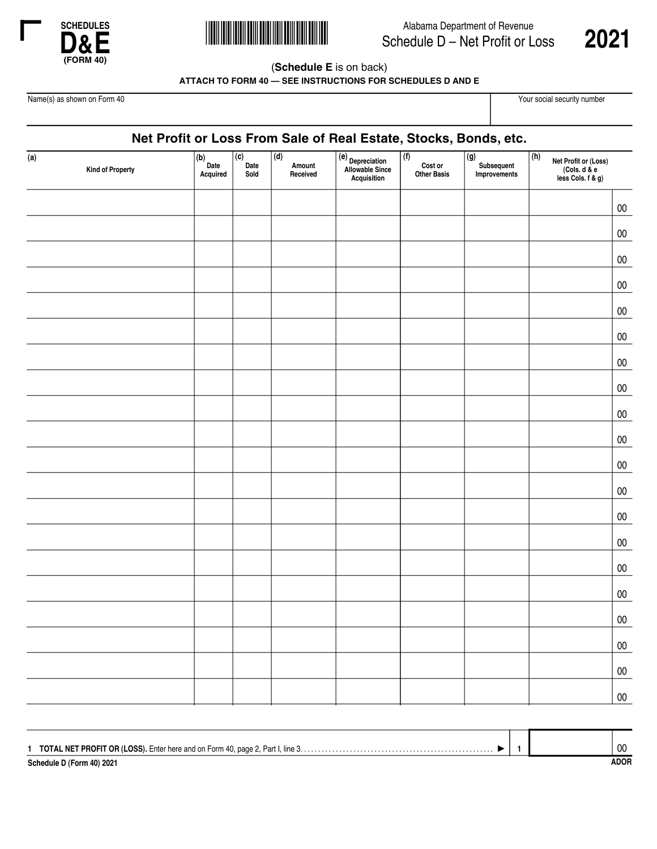



**Alabama Department of Revenue**<br>Schedule D – Net Profit or Loss 2021 Alabama Department of Revenue Schedule D – Net Profit or Loss



(**Schedule E** is on back)

**ATTACH TO FORM 40 — SEE INSTRUCTIONS FOR SCHEDULES D AND E**

Name(s) as shown on Form 40 Your social security number

## **Net Profit or Loss From Sale of Real Estate, Stocks, Bonds, etc.**

| $\overline{a)}$<br>Kind of Property | $\begin{tabular}{ c } (b) \\ Date \\ Acquired \\ \end{tabular}$ | $\overline{c}$<br>Date<br>Sold | $\overline{d}$<br>Amount<br>Received | (e)<br>Depreciation<br>Allowable Since<br>Acquisition | (f)<br>Cost or<br>Other Basis | $\overline{(\mathsf{g})}$<br>Subsequent<br>Improvements | (h)<br>Net Profit or (Loss)<br>(Cols. d & e<br>less Cols. f & g) |            |
|-------------------------------------|-----------------------------------------------------------------|--------------------------------|--------------------------------------|-------------------------------------------------------|-------------------------------|---------------------------------------------------------|------------------------------------------------------------------|------------|
|                                     |                                                                 |                                |                                      |                                                       |                               |                                                         |                                                                  | ${\bf 00}$ |
|                                     |                                                                 |                                |                                      |                                                       |                               |                                                         |                                                                  | ${\bf 00}$ |
|                                     |                                                                 |                                |                                      |                                                       |                               |                                                         |                                                                  | ${\bf 00}$ |
|                                     |                                                                 |                                |                                      |                                                       |                               |                                                         |                                                                  | ${\bf 00}$ |
|                                     |                                                                 |                                |                                      |                                                       |                               |                                                         |                                                                  | ${\bf 00}$ |
|                                     |                                                                 |                                |                                      |                                                       |                               |                                                         |                                                                  | ${\bf 00}$ |
|                                     |                                                                 |                                |                                      |                                                       |                               |                                                         |                                                                  | ${\bf 00}$ |
|                                     |                                                                 |                                |                                      |                                                       |                               |                                                         |                                                                  | ${\bf 00}$ |
|                                     |                                                                 |                                |                                      |                                                       |                               |                                                         |                                                                  | ${\bf 00}$ |
|                                     |                                                                 |                                |                                      |                                                       |                               |                                                         |                                                                  | ${\bf 00}$ |
|                                     |                                                                 |                                |                                      |                                                       |                               |                                                         |                                                                  | ${\bf 00}$ |
|                                     |                                                                 |                                |                                      |                                                       |                               |                                                         |                                                                  | ${\bf 00}$ |
|                                     |                                                                 |                                |                                      |                                                       |                               |                                                         |                                                                  | ${\bf 00}$ |
|                                     |                                                                 |                                |                                      |                                                       |                               |                                                         |                                                                  | ${\bf 00}$ |
|                                     |                                                                 |                                |                                      |                                                       |                               |                                                         |                                                                  | ${\bf 00}$ |
|                                     |                                                                 |                                |                                      |                                                       |                               |                                                         |                                                                  | ${\bf 00}$ |
|                                     |                                                                 |                                |                                      |                                                       |                               |                                                         |                                                                  | ${\bf 00}$ |
|                                     |                                                                 |                                |                                      |                                                       |                               |                                                         |                                                                  | ${\bf 00}$ |
|                                     |                                                                 |                                |                                      |                                                       |                               |                                                         |                                                                  | ${\bf 00}$ |
|                                     |                                                                 |                                |                                      |                                                       |                               |                                                         |                                                                  | ${\bf 00}$ |

|                           |  | ∩۵          |
|---------------------------|--|-------------|
|                           |  | u           |
| Schedule D (Form 40) 2021 |  | <b>ADOR</b> |